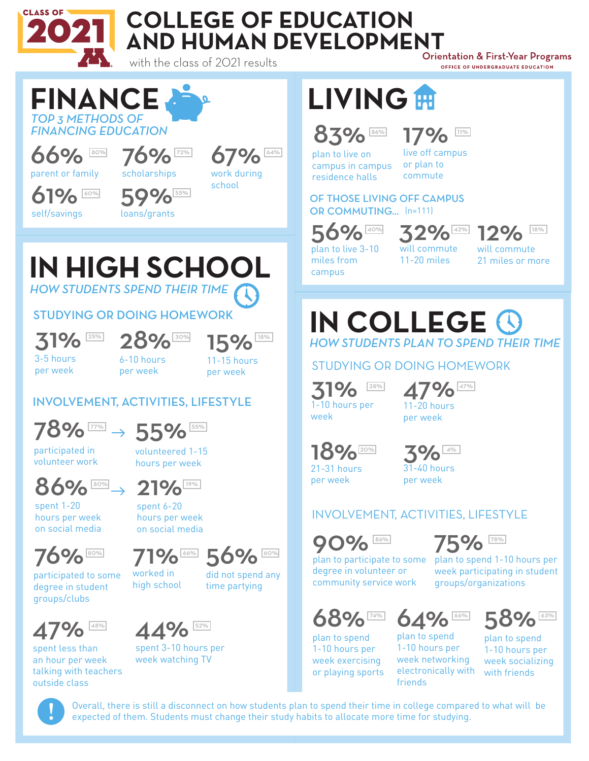

## **COLLEGE OF EDUCATION AND HUMAN DEVELOPMENT**<br>Orientation & First-Year Programs

with the class of 2021 results

OFFICE OF UNDERGRADUATE EDUCATION

#### *TOP 3 METHODS OF FINANCING EDUCATION* **FINANCE** 66% parent or family 76% scholarships 67% work during school 61% self/savings 59% 55% loans/grants 60%

### *HOW STUDENTS SPEND THEIR TIME* **IN HIGH SCHOOL**

#### STUDYING OR DOING HOMEWORK



31% 28% 15%

3-5 hours per week

6-10 hours per week



#### INVOLVEMENT, ACTIVITIES, LIFESTYLE



participated in volunteer work

volunteered 1-15 hours per week



spent 6-20

spent 1-20 hours per week on social media



participated to some degree in student groups/clubs

worked in

high school



time partying



spent less than an hour per week talking with teachers outside class



spent 3-10 hours per week watching TV

# **LIVING**

## 83% 17%

plan to live on campus in campus residence halls

17% live off campus or plan to commute

#### OF THOSE LIVING OFF CAMPUS OR COMMUTING... (n=111)

56%

 $\frac{12\%}{12\%}$  32% 12%



plan to live 3-10 miles from campus

will commute 11-20 miles

will commute 21 miles or more

#### *HOW STUDENTS PLAN TO SPEND THEIR TIME* **IN COLLEGE**

STUDYING OR DOING HOMEWORK

 $31%$ week  $28%$ 

47% 11-20 hours per week

18% 21-31 hours



per week



#### INVOLVEMENT, ACTIVITIES, LIFESTYLE



 $\frac{86\%}{25\%}$  75% plan to participate to some plan to spend 1-10 hours per degree in volunteer or week participating in student community service work

68%

plan to spend 1-10 hours per week exercising or playing sports

 $74\%$  64% 58%

plan to spend 1-10 hours per week networking electronically with friends

58% plan to spend 1-10 hours per week socializing with friends

groups/organizations



Overall, there is still a disconnect on how students plan to spend their time in college compared to what will be expected of them. Students must change their study habits to allocate more time for studying.





did not spend any